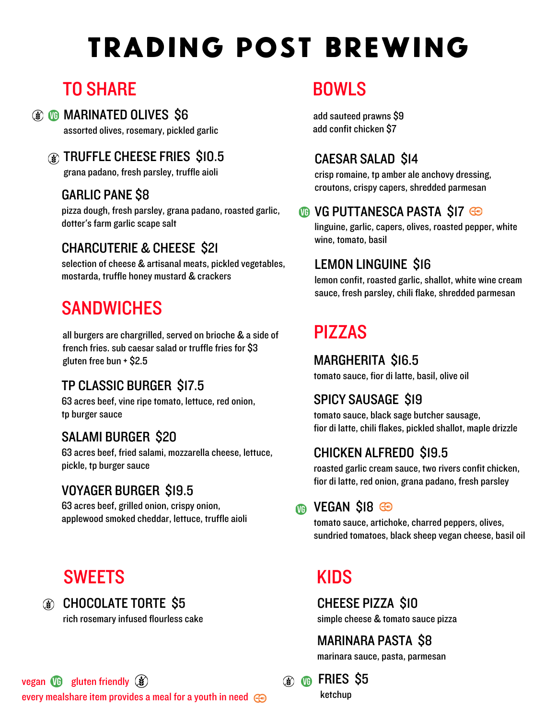# trading post brewing

## TO SHARE

## **(a) <b>ID** MARINATED OLIVES S6

assorted olives, rosemary, pickled garlic

#### TRUFFLE CHEESE FRIES \$10.5

grana padano, fresh parsley, truffle aioli

#### GARLIC PANE \$8

pizza dough, fresh parsley, grana padano, roasted garlic, dotter's farm garlic scape salt

#### CHARCUTERIE & CHEESE \$21

selection of cheese & artisanal meats, pickled vegetables, mostarda, truffle honey mustard & crackers

## **SANDWICHES**

all burgers are chargrilled, served on brioche & a side of french fries. sub caesar salad or truffle fries for \$3 gluten free bun + \$2.5

#### TP CLASSIC BURGER \$17.5

63 acres beef, vine ripe tomato, lettuce, red onion, tp burger sauce

## SALAMI BURGER \$20

63 acres beef, fried salami, mozzarella cheese, lettuce, pickle, tp burger sauce

## VOYAGER BURGER \$19.5

63 acres beef, grilled onion, crispy onion, applewood smoked cheddar, lettuce, truffle aioli

## **SWEETS**

## CHOCOLATE TORTE \$5

rich rosemary infused flourless cake

## BOWLS

add sauteed prawns \$9 add confit chicken \$7

#### CAESAR SALAD \$14

crisp romaine, tp amber ale anchovy dressing, croutons, crispy capers, shredded parmesan

#### **OB VG PUTTANESCA PASTA SIZ GO**

linguine, garlic, capers, olives, roasted pepper, white wine, tomato, basil

## LEMON LINGUINE \$16

lemon confit, roasted garlic, shallot, white wine cream sauce, fresh parsley, chili flake, shredded parmesan

# PIZZAS

MARGHERITA \$16.5 tomato sauce, fior di latte, basil, olive oil

## SPICY SAUSAGE \$19

tomato sauce, black sage butcher sausage, fior di latte, chili flakes, pickled shallot, maple drizzle

## CHICKEN ALFREDO \$19.5

roasted garlic cream sauce, two rivers confit chicken, fior di latte, red onion, grana padano, fresh parsley

## **MB** VEGAN SI8 <del>©</del>

tomato sauce, artichoke, charred peppers, olives, sundried tomatoes, black sheep vegan cheese, basil oil

## KIDS

CHEESE PIZZA \$10 simple cheese & tomato sauce pizza

## MARINARA PASTA \$8

marinara sauce, pasta, parmesan

**66** FRIES \$5 ketchup

vegan  $\mathbf{w}$  gluten friendly  $\mathbf{\hat{\mathbf{x}}}$ every mealshare item provides a meal for a youth in need  $\mathbb{C}$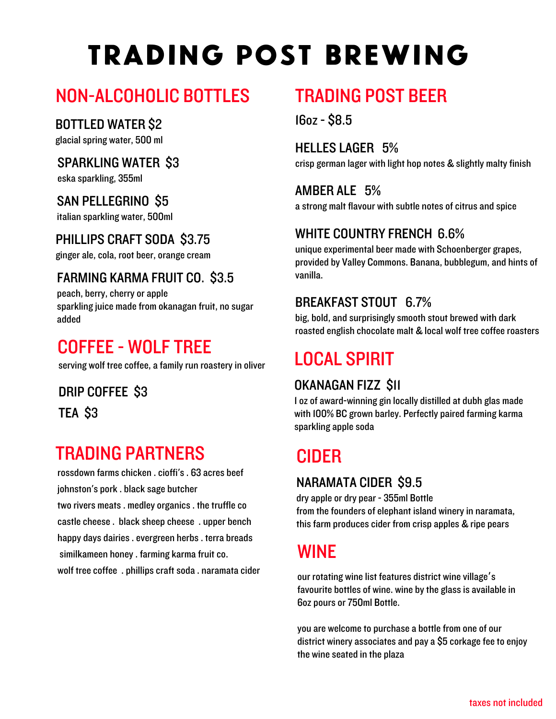# trading post brewing

## NON-ALCOHOLIC BOTTLES

#### BOTTLED WATER \$2

glacial spring water, 500 ml

## SPARKLING WATER \$3

eska sparkling, 355ml

#### SAN PELLEGRINO \$5

italian sparkling water, 500ml

## PHILLIPS CRAFT SODA \$3.75

ginger ale, cola, root beer, orange cream

## FARMING KARMA FRUIT CO. \$3.5

peach, berry, cherry or apple sparkling juice made from okanagan fruit, no sugar added

## COFFEE - WOLF TREE

serving wolf tree coffee, a family run roastery in oliver

## DRIP COFFEE \$3

TEA \$3

## TRADING PARTNERS

rossdown farms chicken . cioffi's. 63 acres beef johnston's pork . black sage butcher two rivers meats. medley organics. the truffle co castle cheese . black sheep cheese . upper bench happy days dairies. evergreen herbs. terra breads similkameen honey. farming karma fruit co. wolf tree coffee. phillips craft soda . naramata cider

## TRADING POST BEER

16oz - \$8.5

HELLES LAGER 5% crisp german lager with light hop notes & slightly malty finish

AMBER ALE 5% a strong malt flavour with subtle notes of citrus and spice

#### WHITE COUNTRY FRENCH 6.6%

unique experimental beer made with Schoenberger grapes, provided by Valley Commons. Banana, bubblegum, and hints of vanilla.

#### BREAKFAST STOUT 6.7%

big, bold, and surprisingly smooth stout brewed with dark roasted english chocolate malt & local wolf tree coffee roasters

## LOCAL SPIRIT

## OKANAGAN FIZZ \$11

1 oz of award-winning gin locally distilled at dubh glas made with 100% BC grown barley. Perfectly paired farming karma sparkling apple soda

# CIDER

## NARAMATA CIDER \$9.5

dry apple or dry pear - 355ml Bottle from the founders of elephant island winery in naramata, this farm produces cider from crisp apples & ripe pears

## WINE

our rotating wine list features district wine village ' s favourite bottles of wine. wine by the glass is available in 6oz pours or 750ml Bottle.

you are welcome to purchase a bottle from one of our district winery associates and pay a \$5 corkage fee to enjoy the wine seated in the plaza